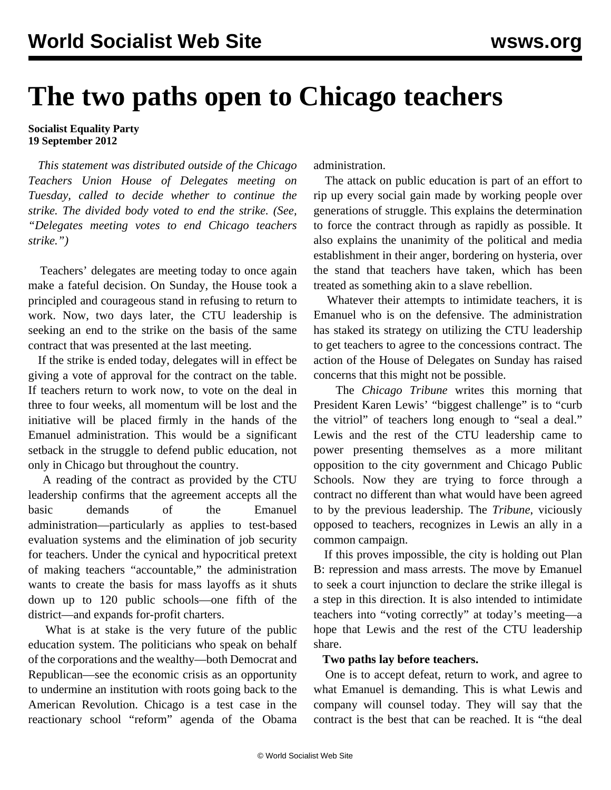# **The two paths open to Chicago teachers**

#### **Socialist Equality Party 19 September 2012**

 *This statement was distributed outside of the Chicago Teachers Union House of Delegates meeting on Tuesday, called to decide whether to continue the strike. The divided body voted to end the strike. (See, ["Delegates meeting votes to end Chicago teachers](/en/articles/2012/sep2012/chic-s19.shtml) [strike](/en/articles/2012/sep2012/chic-s19.shtml).")*

 Teachers' delegates are meeting today to once again make a fateful decision. On Sunday, the House took a principled and courageous stand in refusing to return to work. Now, two days later, the CTU leadership is seeking an end to the strike on the basis of the same contract that was presented at the last meeting.

 If the strike is ended today, delegates will in effect be giving a vote of approval for the contract on the table. If teachers return to work now, to vote on the deal in three to four weeks, all momentum will be lost and the initiative will be placed firmly in the hands of the Emanuel administration. This would be a significant setback in the struggle to defend public education, not only in Chicago but throughout the country.

 A reading of the contract as provided by the CTU leadership confirms that the agreement accepts all the basic demands of the Emanuel administration—particularly as applies to test-based evaluation systems and the elimination of job security for teachers. Under the cynical and hypocritical pretext of making teachers "accountable," the administration wants to create the basis for mass layoffs as it shuts down up to 120 public schools—one fifth of the district—and expands for-profit charters.

 What is at stake is the very future of the public education system. The politicians who speak on behalf of the corporations and the wealthy—both Democrat and Republican—see the economic crisis as an opportunity to undermine an institution with roots going back to the American Revolution. Chicago is a test case in the reactionary school "reform" agenda of the Obama administration.

 The attack on public education is part of an effort to rip up every social gain made by working people over generations of struggle. This explains the determination to force the contract through as rapidly as possible. It also explains the unanimity of the political and media establishment in their anger, bordering on hysteria, over the stand that teachers have taken, which has been treated as something akin to a slave rebellion.

 Whatever their attempts to intimidate teachers, it is Emanuel who is on the defensive. The administration has staked its strategy on utilizing the CTU leadership to get teachers to agree to the concessions contract. The action of the House of Delegates on Sunday has raised concerns that this might not be possible.

 The *Chicago Tribune* writes this morning that President Karen Lewis' "biggest challenge" is to "curb the vitriol" of teachers long enough to "seal a deal." Lewis and the rest of the CTU leadership came to power presenting themselves as a more militant opposition to the city government and Chicago Public Schools. Now they are trying to force through a contract no different than what would have been agreed to by the previous leadership. The *Tribune*, viciously opposed to teachers, recognizes in Lewis an ally in a common campaign.

 If this proves impossible, the city is holding out Plan B: repression and mass arrests. The move by Emanuel to seek a court injunction to declare the strike illegal is a step in this direction. It is also intended to intimidate teachers into "voting correctly" at today's meeting—a hope that Lewis and the rest of the CTU leadership share.

### **Two paths lay before teachers.**

 One is to accept defeat, return to work, and agree to what Emanuel is demanding. This is what Lewis and company will counsel today. They will say that the contract is the best that can be reached. It is "the deal